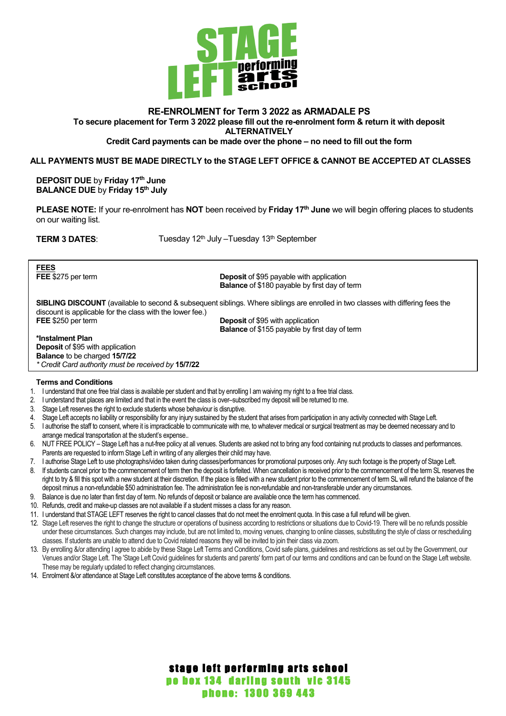

## **RE-ENROLMENT for Term 3 2022 as ARMADALE PS To secure placement for Term 3 2022 please fill out the re-enrolment form & return it with deposit ALTERNATIVELY**

#### **Credit Card payments can be made over the phone – no need to fill out the form**

#### **ALL PAYMENTS MUST BE MADE DIRECTLY to the STAGE LEFT OFFICE & CANNOT BE ACCEPTED AT CLASSES**

**DEPOSIT DUE** by **Friday 17th June BALANCE DUE** by **Friday 15th July**

**PLEASE NOTE:** If your re-enrolment has **NOT** been received by **Friday 17th June** we will begin offering places to students on our waiting list.

**TERM 3 DATES:** Tuesday 12<sup>th</sup> July –Tuesday 13<sup>th</sup> September

**FEES**<br>**FEE** \$275 per term

**Deposit** of \$95 payable with application **Balance** of \$180 payable by first day of term

**SIBLING DISCOUNT** (available to second & subsequent siblings. Where siblings are enrolled in two classes with differing fees the discount is applicable for the class with the lower fee.)<br>FEE \$250 per term **Deposit of \$95 with application** 

**Balance** of \$155 payable by first day of term

#### **\*Instalment Plan**

**Deposit** of \$95 with application **Balance** to be charged **15/7/22** *\* Credit Card authority must be received by* **15/7/22**

#### **Terms and Conditions**

- 1. I understand that one free trial class is available per student and that by enrolling I am waiving my right to a free trial class.
- 2. I understand that places are limited and that in the event the class is over–subscribed my deposit will be returned to me.
- 3. Stage Left reserves the right to exclude students whose behaviour is disruptive.
- 4. Stage Left accepts no liability or responsibility for any injury sustained by the student that arises from participation in any activity connected with Stage Left.
- 5. I authorise the staff to consent, where it is impracticable to communicate with me, to whatever medical or surgical treatment as may be deemed necessary and to arrange medical transportation at the student's expense..
- 6. NUT FREE POLICY Stage Left has a nut-free policy at all venues. Students are asked not to bring any food containing nut products to classes and performances. Parents are requested to inform Stage Left in writing of any allergies their child may have.
- 7. I authorise Stage Left to use photographs/video taken during classes/performances for promotional purposes only. Any such footage is the property of Stage Left.
- 8. If students cancel prior to the commencement of term then the deposit is forfeited. When cancellation is received prior to the commencement of the term SL reserves the right to try & fill this spot with a new student at their discretion. If the place is filled with a new student prior to the commencement of term SL will refund the balance of the deposit minus a non-refundable \$50 administration fee. The administration fee is non-refundable and non-transferable under any circumstances.
- 9. Balance is due no later than first day of term. No refunds of deposit or balance are available once the term has commenced.
- 10. Refunds, credit and make-up classes are not available if a student misses a class for any reason.
- 11. I understand that STAGE LEFT reserves the right to cancel classes that do not meet the enrolment quota. In this case a full refund will be given.
- 12. Stage Left reserves the right to change the structure or operations of business according to restrictions or situations due to Covid-19. There will be no refunds possible under these circumstances. Such changes may include, but are not limited to, moving venues, changing to online classes, substituting the style of class or rescheduling classes. If students are unable to attend due to Covid related reasons they will be invited to join their class via zoom.
- 13. By enrolling &/or attending I agree to abide by these Stage Left Terms and Conditions, Covid safe plans, guidelines and restrictions as set out by the Government, our Venues and/or Stage Left. The 'Stage Left Covid guidelines for students and parents' form part of our terms and conditions and can be found on the Stage Left website. These may be regularly updated to reflect changing circumstances.
- 14. Enrolment &/or attendance at Stage Left constitutes acceptance of the above terms & conditions.

# stage left performing arts school po box 134 darling south vic 3145 phone: 1300 369 443